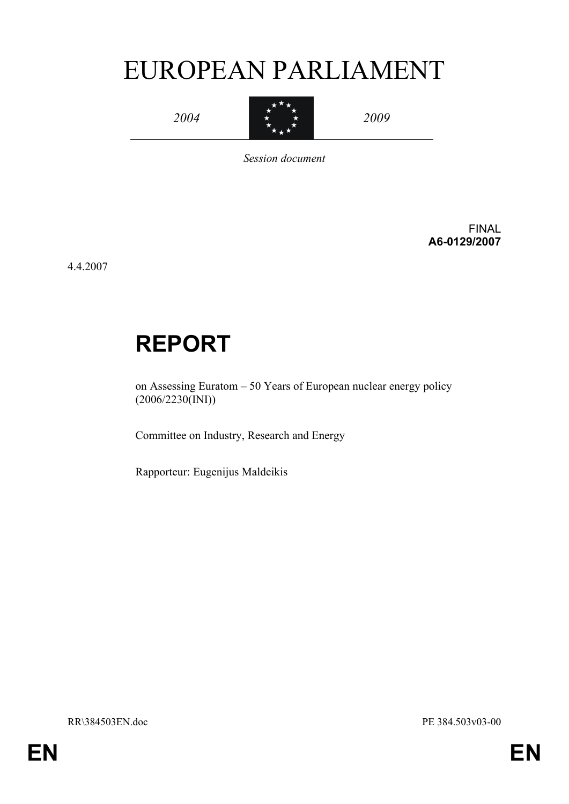# EUROPEAN PARLIAMENT



*Session document*

FINAL **A6-0129/2007**

4.4.2007

# **REPORT**

on Assessing Euratom – 50 Years of European nuclear energy policy (2006/2230(INI))

Committee on Industry, Research and Energy

Rapporteur: Eugenijus Maldeikis

RR\384503EN.doc PE 384.503v03-00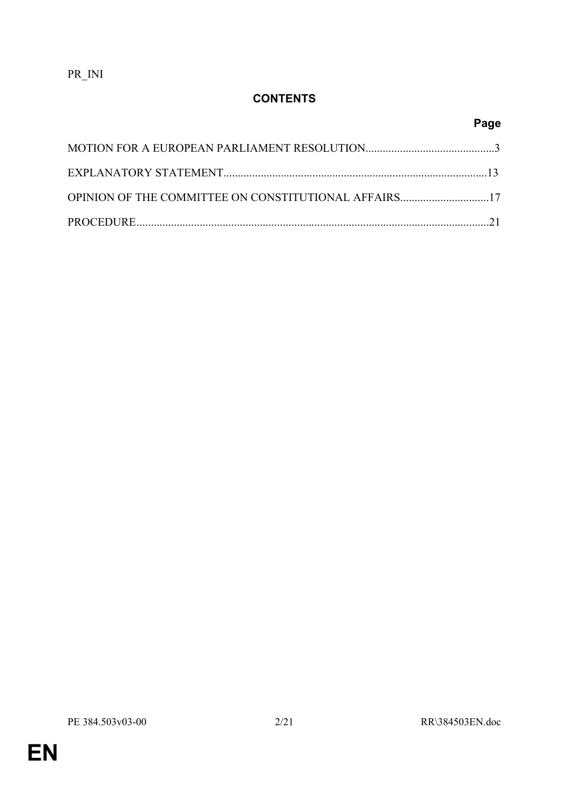PR\_INI

## **CONTENTS**

# **Page**

| OPINION OF THE COMMITTEE ON CONSTITUTIONAL AFFAIRS17 |  |
|------------------------------------------------------|--|
|                                                      |  |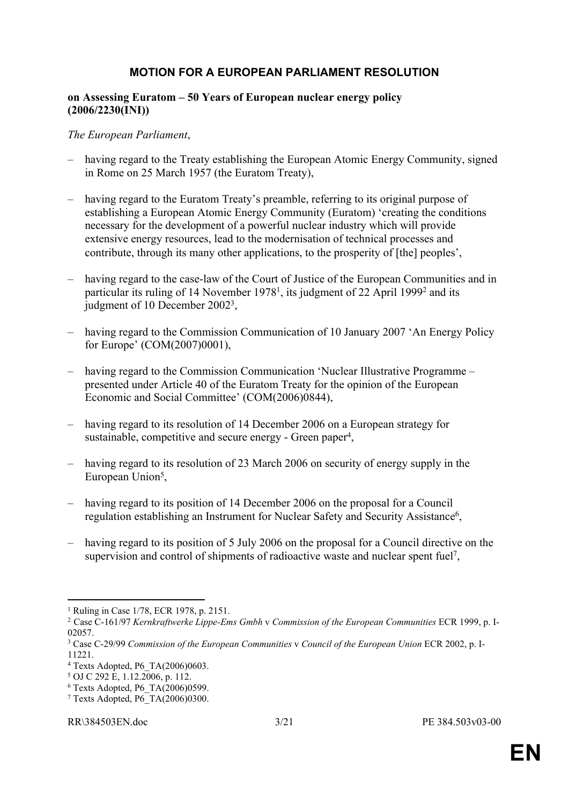#### **MOTION FOR A EUROPEAN PARLIAMENT RESOLUTION**

#### **on Assessing Euratom – 50 Years of European nuclear energy policy (2006/2230(INI))**

#### *The European Parliament*,

- having regard to the Treaty establishing the European Atomic Energy Community, signed in Rome on 25 March 1957 (the Euratom Treaty),
- having regard to the Euratom Treaty's preamble, referring to its original purpose of establishing a European Atomic Energy Community (Euratom) 'creating the conditions necessary for the development of a powerful nuclear industry which will provide extensive energy resources, lead to the modernisation of technical processes and contribute, through its many other applications, to the prosperity of [the] peoples',
- having regard to the case-law of the Court of Justice of the European Communities and in particular its ruling of 14 November 1978<sup>1</sup>, its judgment of 22 April 1999<sup>2</sup> and its judgment of 10 December 2002<sup>3</sup>,
- having regard to the Commission Communication of 10 January 2007 'An Energy Policy for Europe' (COM(2007)0001),
- having regard to the Commission Communication 'Nuclear Illustrative Programme presented under Article 40 of the Euratom Treaty for the opinion of the European Economic and Social Committee' (COM(2006)0844),
- having regard to its resolution of 14 December 2006 on a European strategy for sustainable, competitive and secure energy - Green paper<sup>4</sup>,
- having regard to its resolution of 23 March 2006 on security of energy supply in the European Union<sup>5</sup>,
- having regard to its position of 14 December 2006 on the proposal for a Council regulation establishing an Instrument for Nuclear Safety and Security Assistance<sup>6</sup>,
- having regard to its position of 5 July 2006 on the proposal for a Council directive on the supervision and control of shipments of radioactive waste and nuclear spent fuel<sup>7</sup> ,

<sup>1</sup> Ruling in Case 1/78, ECR 1978, p. 2151.

<sup>2</sup> Case C-161/97 *Kernkraftwerke Lippe-Ems Gmbh* v *Commission of the European Communities* ECR 1999, p. I-02057.

<sup>3</sup> Case C-29/99 *Commission of the European Communities* v *Council of the European Union* ECR 2002, p. I-11221.

<sup>4</sup> Texts Adopted, P6\_TA(2006)0603.

<sup>5</sup> OJ C 292 E, 1.12.2006, p. 112.

<sup>6</sup> Texts Adopted, P6\_TA(2006)0599.

<sup>7</sup> Texts Adopted, P6\_TA(2006)0300.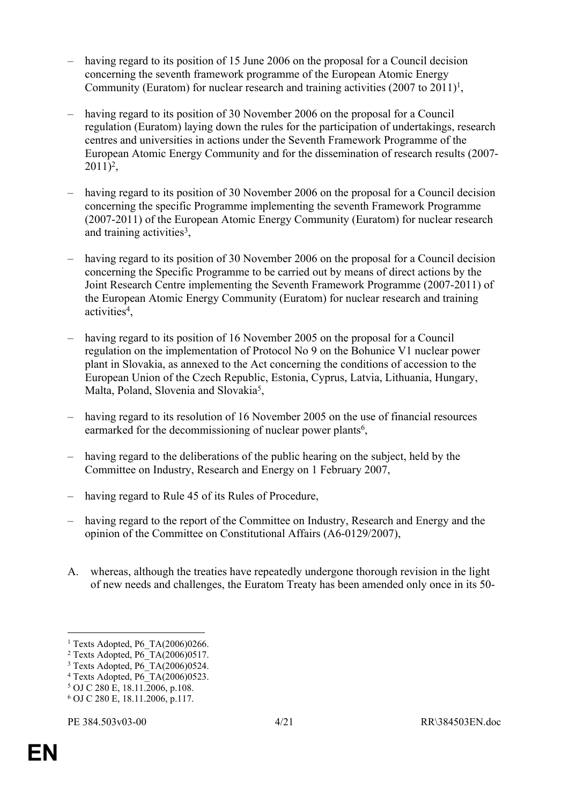- having regard to its position of 15 June 2006 on the proposal for a Council decision concerning the seventh framework programme of the European Atomic Energy Community (Euratom) for nuclear research and training activities  $(2007 \text{ to } 2011)^1$ ,
- having regard to its position of 30 November 2006 on the proposal for a Council regulation (Euratom) laying down the rules for the participation of undertakings, research centres and universities in actions under the Seventh Framework Programme of the European Atomic Energy Community and for the dissemination of research results (2007-  $2011)^2$ ,
- having regard to its position of 30 November 2006 on the proposal for a Council decision concerning the specific Programme implementing the seventh Framework Programme (2007-2011) of the European Atomic Energy Community (Euratom) for nuclear research and training activities<sup>3</sup>,
- having regard to its position of 30 November 2006 on the proposal for a Council decision concerning the Specific Programme to be carried out by means of direct actions by the Joint Research Centre implementing the Seventh Framework Programme (2007-2011) of the European Atomic Energy Community (Euratom) for nuclear research and training activities<sup>4</sup>,
- having regard to its position of 16 November 2005 on the proposal for a Council regulation on the implementation of Protocol No 9 on the Bohunice V1 nuclear power plant in Slovakia, as annexed to the Act concerning the conditions of accession to the European Union of the Czech Republic, Estonia, Cyprus, Latvia, Lithuania, Hungary, Malta, Poland, Slovenia and Slovakia<sup>5</sup>,
- having regard to its resolution of 16 November 2005 on the use of financial resources earmarked for the decommissioning of nuclear power plants<sup>6</sup>,
- having regard to the deliberations of the public hearing on the subject, held by the Committee on Industry, Research and Energy on 1 February 2007,
- having regard to Rule 45 of its Rules of Procedure,
- having regard to the report of the Committee on Industry, Research and Energy and the opinion of the Committee on Constitutional Affairs (A6-0129/2007),
- A. whereas, although the treaties have repeatedly undergone thorough revision in the light of new needs and challenges, the Euratom Treaty has been amended only once in its 50-

<sup>1</sup> Texts Adopted, P6\_TA(2006)0266.

<sup>2</sup> Texts Adopted, P6\_TA(2006)0517.

<sup>3</sup> Texts Adopted, P6\_TA(2006)0524.

<sup>4</sup> Texts Adopted, P6\_TA(2006)0523.

<sup>5</sup> OJ C 280 E, 18.11.2006, p.108.

<sup>6</sup> OJ C 280 E, 18.11.2006, p.117.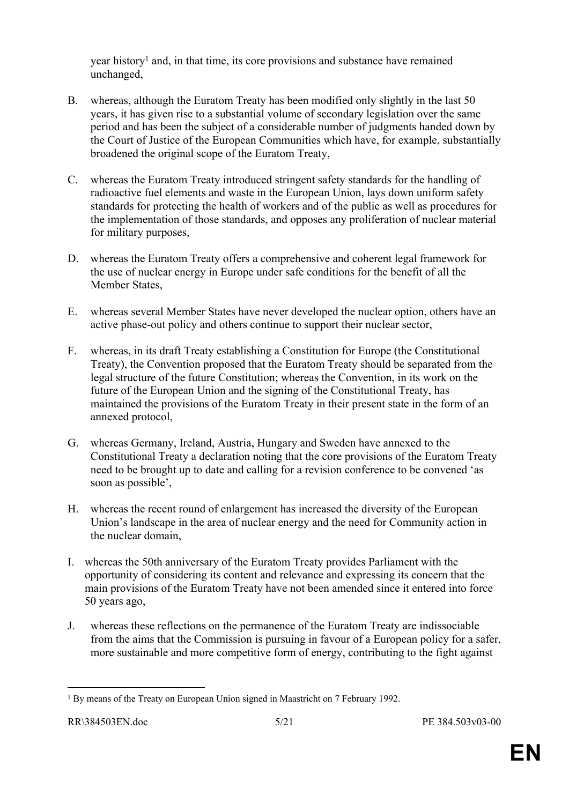year history<sup>1</sup> and, in that time, its core provisions and substance have remained unchanged,

- B. whereas, although the Euratom Treaty has been modified only slightly in the last 50 years, it has given rise to a substantial volume of secondary legislation over the same period and has been the subject of a considerable number of judgments handed down by the Court of Justice of the European Communities which have, for example, substantially broadened the original scope of the Euratom Treaty,
- C. whereas the Euratom Treaty introduced stringent safety standards for the handling of radioactive fuel elements and waste in the European Union, lays down uniform safety standards for protecting the health of workers and of the public as well as procedures for the implementation of those standards, and opposes any proliferation of nuclear material for military purposes,
- D. whereas the Euratom Treaty offers a comprehensive and coherent legal framework for the use of nuclear energy in Europe under safe conditions for the benefit of all the Member States,
- E. whereas several Member States have never developed the nuclear option, others have an active phase-out policy and others continue to support their nuclear sector,
- F. whereas, in its draft Treaty establishing a Constitution for Europe (the Constitutional Treaty), the Convention proposed that the Euratom Treaty should be separated from the legal structure of the future Constitution; whereas the Convention, in its work on the future of the European Union and the signing of the Constitutional Treaty, has maintained the provisions of the Euratom Treaty in their present state in the form of an annexed protocol,
- G. whereas Germany, Ireland, Austria, Hungary and Sweden have annexed to the Constitutional Treaty a declaration noting that the core provisions of the Euratom Treaty need to be brought up to date and calling for a revision conference to be convened 'as soon as possible',
- H. whereas the recent round of enlargement has increased the diversity of the European Union's landscape in the area of nuclear energy and the need for Community action in the nuclear domain,
- I. whereas the 50th anniversary of the Euratom Treaty provides Parliament with the opportunity of considering its content and relevance and expressing its concern that the main provisions of the Euratom Treaty have not been amended since it entered into force 50 years ago,
- J. whereas these reflections on the permanence of the Euratom Treaty are indissociable from the aims that the Commission is pursuing in favour of a European policy for a safer, more sustainable and more competitive form of energy, contributing to the fight against

<sup>&</sup>lt;sup>1</sup> By means of the Treaty on European Union signed in Maastricht on 7 February 1992.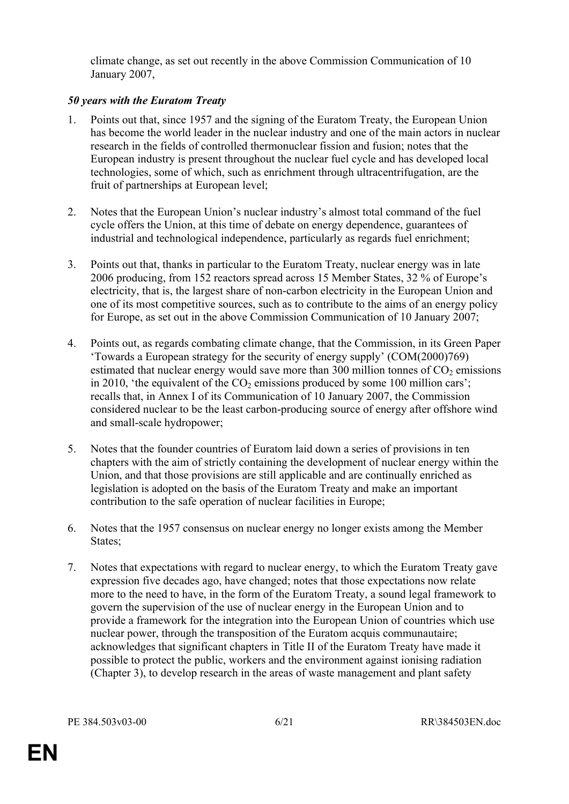climate change, as set out recently in the above Commission Communication of 10 January 2007,

#### *50 years with the Euratom Treaty*

- 1. Points out that, since 1957 and the signing of the Euratom Treaty, the European Union has become the world leader in the nuclear industry and one of the main actors in nuclear research in the fields of controlled thermonuclear fission and fusion; notes that the European industry is present throughout the nuclear fuel cycle and has developed local technologies, some of which, such as enrichment through ultracentrifugation, are the fruit of partnerships at European level;
- 2. Notes that the European Union's nuclear industry's almost total command of the fuel cycle offers the Union, at this time of debate on energy dependence, guarantees of industrial and technological independence, particularly as regards fuel enrichment;
- 3. Points out that, thanks in particular to the Euratom Treaty, nuclear energy was in late 2006 producing, from 152 reactors spread across 15 Member States, 32 % of Europe's electricity, that is, the largest share of non-carbon electricity in the European Union and one of its most competitive sources, such as to contribute to the aims of an energy policy for Europe, as set out in the above Commission Communication of 10 January 2007;
- 4. Points out, as regards combating climate change, that the Commission, in its Green Paper 'Towards a European strategy for the security of energy supply' (COM(2000)769) estimated that nuclear energy would save more than 300 million tonnes of  $CO<sub>2</sub>$  emissions in 2010, 'the equivalent of the  $CO<sub>2</sub>$  emissions produced by some 100 million cars'; recalls that, in Annex I of its Communication of 10 January 2007, the Commission considered nuclear to be the least carbon-producing source of energy after offshore wind and small-scale hydropower;
- 5. Notes that the founder countries of Euratom laid down a series of provisions in ten chapters with the aim of strictly containing the development of nuclear energy within the Union, and that those provisions are still applicable and are continually enriched as legislation is adopted on the basis of the Euratom Treaty and make an important contribution to the safe operation of nuclear facilities in Europe;
- 6. Notes that the 1957 consensus on nuclear energy no longer exists among the Member States:
- 7. Notes that expectations with regard to nuclear energy, to which the Euratom Treaty gave expression five decades ago, have changed; notes that those expectations now relate more to the need to have, in the form of the Euratom Treaty, a sound legal framework to govern the supervision of the use of nuclear energy in the European Union and to provide a framework for the integration into the European Union of countries which use nuclear power, through the transposition of the Euratom acquis communautaire; acknowledges that significant chapters in Title II of the Euratom Treaty have made it possible to protect the public, workers and the environment against ionising radiation (Chapter 3), to develop research in the areas of waste management and plant safety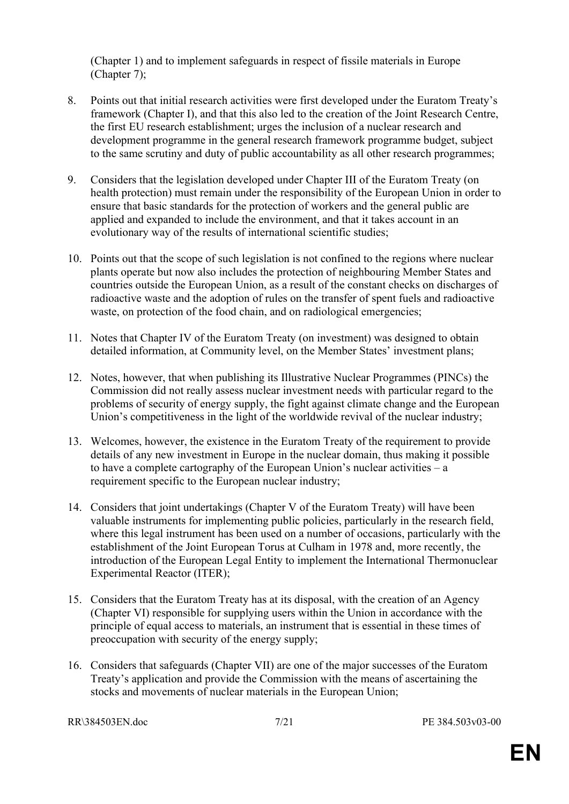(Chapter 1) and to implement safeguards in respect of fissile materials in Europe (Chapter 7);

- 8. Points out that initial research activities were first developed under the Euratom Treaty's framework (Chapter I), and that this also led to the creation of the Joint Research Centre, the first EU research establishment; urges the inclusion of a nuclear research and development programme in the general research framework programme budget, subject to the same scrutiny and duty of public accountability as all other research programmes;
- 9. Considers that the legislation developed under Chapter III of the Euratom Treaty (on health protection) must remain under the responsibility of the European Union in order to ensure that basic standards for the protection of workers and the general public are applied and expanded to include the environment, and that it takes account in an evolutionary way of the results of international scientific studies;
- 10. Points out that the scope of such legislation is not confined to the regions where nuclear plants operate but now also includes the protection of neighbouring Member States and countries outside the European Union, as a result of the constant checks on discharges of radioactive waste and the adoption of rules on the transfer of spent fuels and radioactive waste, on protection of the food chain, and on radiological emergencies;
- 11. Notes that Chapter IV of the Euratom Treaty (on investment) was designed to obtain detailed information, at Community level, on the Member States' investment plans;
- 12. Notes, however, that when publishing its Illustrative Nuclear Programmes (PINCs) the Commission did not really assess nuclear investment needs with particular regard to the problems of security of energy supply, the fight against climate change and the European Union's competitiveness in the light of the worldwide revival of the nuclear industry;
- 13. Welcomes, however, the existence in the Euratom Treaty of the requirement to provide details of any new investment in Europe in the nuclear domain, thus making it possible to have a complete cartography of the European Union's nuclear activities – a requirement specific to the European nuclear industry;
- 14. Considers that joint undertakings (Chapter V of the Euratom Treaty) will have been valuable instruments for implementing public policies, particularly in the research field, where this legal instrument has been used on a number of occasions, particularly with the establishment of the Joint European Torus at Culham in 1978 and, more recently, the introduction of the European Legal Entity to implement the International Thermonuclear Experimental Reactor (ITER);
- 15. Considers that the Euratom Treaty has at its disposal, with the creation of an Agency (Chapter VI) responsible for supplying users within the Union in accordance with the principle of equal access to materials, an instrument that is essential in these times of preoccupation with security of the energy supply;
- 16. Considers that safeguards (Chapter VII) are one of the major successes of the Euratom Treaty's application and provide the Commission with the means of ascertaining the stocks and movements of nuclear materials in the European Union;

RR\384503EN.doc 7/21 PE 384.503v03-00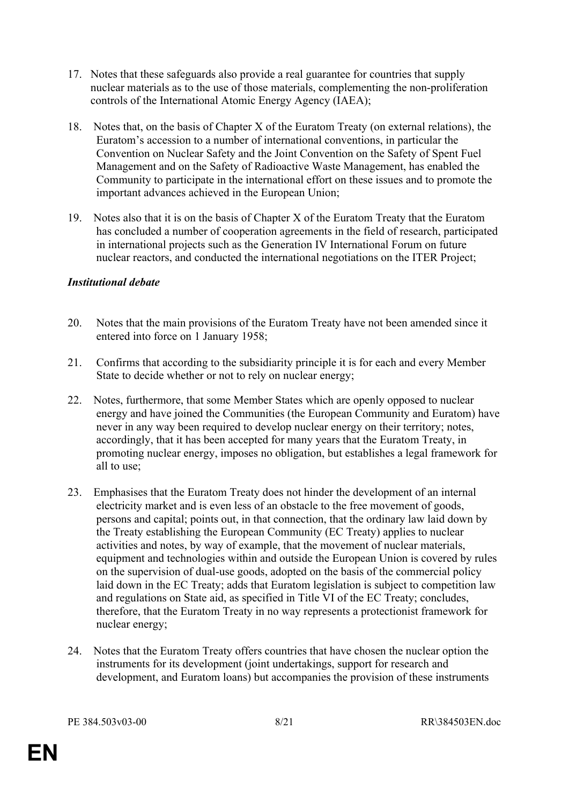- 17. Notes that these safeguards also provide a real guarantee for countries that supply nuclear materials as to the use of those materials, complementing the non-proliferation controls of the International Atomic Energy Agency (IAEA);
- 18. Notes that, on the basis of Chapter X of the Euratom Treaty (on external relations), the Euratom's accession to a number of international conventions, in particular the Convention on Nuclear Safety and the Joint Convention on the Safety of Spent Fuel Management and on the Safety of Radioactive Waste Management, has enabled the Community to participate in the international effort on these issues and to promote the important advances achieved in the European Union;
- 19. Notes also that it is on the basis of Chapter X of the Euratom Treaty that the Euratom has concluded a number of cooperation agreements in the field of research, participated in international projects such as the Generation IV International Forum on future nuclear reactors, and conducted the international negotiations on the ITER Project;

#### *Institutional debate*

- 20. Notes that the main provisions of the Euratom Treaty have not been amended since it entered into force on 1 January 1958;
- 21. Confirms that according to the subsidiarity principle it is for each and every Member State to decide whether or not to rely on nuclear energy;
- 22. Notes, furthermore, that some Member States which are openly opposed to nuclear energy and have joined the Communities (the European Community and Euratom) have never in any way been required to develop nuclear energy on their territory; notes, accordingly, that it has been accepted for many years that the Euratom Treaty, in promoting nuclear energy, imposes no obligation, but establishes a legal framework for all to use:
- 23. Emphasises that the Euratom Treaty does not hinder the development of an internal electricity market and is even less of an obstacle to the free movement of goods, persons and capital; points out, in that connection, that the ordinary law laid down by the Treaty establishing the European Community (EC Treaty) applies to nuclear activities and notes, by way of example, that the movement of nuclear materials, equipment and technologies within and outside the European Union is covered by rules on the supervision of dual-use goods, adopted on the basis of the commercial policy laid down in the EC Treaty; adds that Euratom legislation is subject to competition law and regulations on State aid, as specified in Title VI of the EC Treaty; concludes, therefore, that the Euratom Treaty in no way represents a protectionist framework for nuclear energy;
- 24. Notes that the Euratom Treaty offers countries that have chosen the nuclear option the instruments for its development (joint undertakings, support for research and development, and Euratom loans) but accompanies the provision of these instruments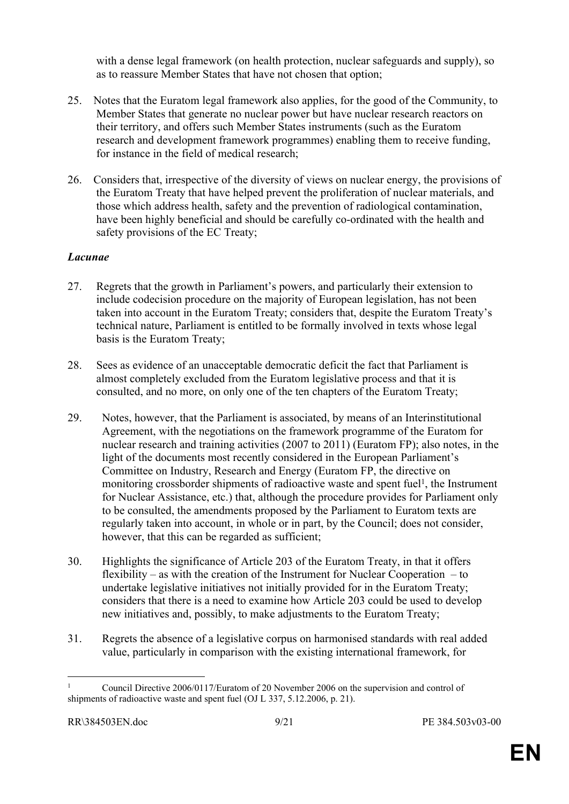with a dense legal framework (on health protection, nuclear safeguards and supply), so as to reassure Member States that have not chosen that option;

- 25. Notes that the Euratom legal framework also applies, for the good of the Community, to Member States that generate no nuclear power but have nuclear research reactors on their territory, and offers such Member States instruments (such as the Euratom research and development framework programmes) enabling them to receive funding, for instance in the field of medical research;
- 26. Considers that, irrespective of the diversity of views on nuclear energy, the provisions of the Euratom Treaty that have helped prevent the proliferation of nuclear materials, and those which address health, safety and the prevention of radiological contamination, have been highly beneficial and should be carefully co-ordinated with the health and safety provisions of the EC Treaty;

#### *Lacunae*

- 27. Regrets that the growth in Parliament's powers, and particularly their extension to include codecision procedure on the majority of European legislation, has not been taken into account in the Euratom Treaty; considers that, despite the Euratom Treaty's technical nature, Parliament is entitled to be formally involved in texts whose legal basis is the Euratom Treaty;
- 28. Sees as evidence of an unacceptable democratic deficit the fact that Parliament is almost completely excluded from the Euratom legislative process and that it is consulted, and no more, on only one of the ten chapters of the Euratom Treaty;
- 29. Notes, however, that the Parliament is associated, by means of an Interinstitutional Agreement, with the negotiations on the framework programme of the Euratom for nuclear research and training activities (2007 to 2011) (Euratom FP); also notes, in the light of the documents most recently considered in the European Parliament's Committee on Industry, Research and Energy (Euratom FP, the directive on monitoring crossborder shipments of radioactive waste and spent fuel<sup>1</sup>, the Instrument for Nuclear Assistance, etc.) that, although the procedure provides for Parliament only to be consulted, the amendments proposed by the Parliament to Euratom texts are regularly taken into account, in whole or in part, by the Council; does not consider, however, that this can be regarded as sufficient;
- 30. Highlights the significance of Article 203 of the Euratom Treaty, in that it offers flexibility – as with the creation of the Instrument for Nuclear Cooperation – to undertake legislative initiatives not initially provided for in the Euratom Treaty; considers that there is a need to examine how Article 203 could be used to develop new initiatives and, possibly, to make adjustments to the Euratom Treaty;
- 31. Regrets the absence of a legislative corpus on harmonised standards with real added value, particularly in comparison with the existing international framework, for

<sup>1</sup> Council Directive 2006/0117/Euratom of 20 November 2006 on the supervision and control of shipments of radioactive waste and spent fuel (OJ L 337, 5.12.2006, p. 21).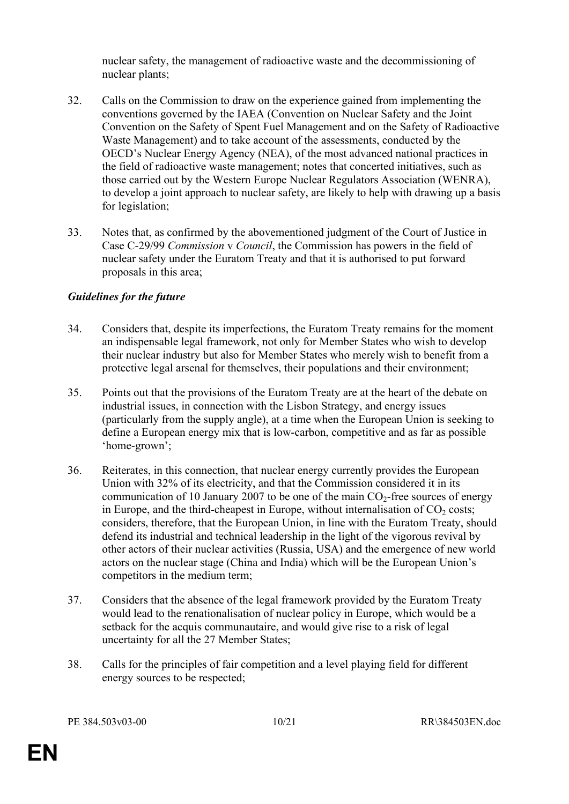nuclear safety, the management of radioactive waste and the decommissioning of nuclear plants;

- 32. Calls on the Commission to draw on the experience gained from implementing the conventions governed by the IAEA (Convention on Nuclear Safety and the Joint Convention on the Safety of Spent Fuel Management and on the Safety of Radioactive Waste Management) and to take account of the assessments, conducted by the OECD's Nuclear Energy Agency (NEA), of the most advanced national practices in the field of radioactive waste management; notes that concerted initiatives, such as those carried out by the Western Europe Nuclear Regulators Association (WENRA), to develop a joint approach to nuclear safety, are likely to help with drawing up a basis for legislation;
- 33. Notes that, as confirmed by the abovementioned judgment of the Court of Justice in Case C-29/99 *Commission* v *Council*, the Commission has powers in the field of nuclear safety under the Euratom Treaty and that it is authorised to put forward proposals in this area;

#### *Guidelines for the future*

- 34. Considers that, despite its imperfections, the Euratom Treaty remains for the moment an indispensable legal framework, not only for Member States who wish to develop their nuclear industry but also for Member States who merely wish to benefit from a protective legal arsenal for themselves, their populations and their environment;
- 35. Points out that the provisions of the Euratom Treaty are at the heart of the debate on industrial issues, in connection with the Lisbon Strategy, and energy issues (particularly from the supply angle), at a time when the European Union is seeking to define a European energy mix that is low-carbon, competitive and as far as possible 'home-grown';
- 36. Reiterates, in this connection, that nuclear energy currently provides the European Union with 32% of its electricity, and that the Commission considered it in its communication of 10 January 2007 to be one of the main  $CO<sub>2</sub>$ -free sources of energy in Europe, and the third-cheapest in Europe, without internalisation of  $CO<sub>2</sub>$  costs; considers, therefore, that the European Union, in line with the Euratom Treaty, should defend its industrial and technical leadership in the light of the vigorous revival by other actors of their nuclear activities (Russia, USA) and the emergence of new world actors on the nuclear stage (China and India) which will be the European Union's competitors in the medium term;
- 37. Considers that the absence of the legal framework provided by the Euratom Treaty would lead to the renationalisation of nuclear policy in Europe, which would be a setback for the acquis communautaire, and would give rise to a risk of legal uncertainty for all the 27 Member States;
- 38. Calls for the principles of fair competition and a level playing field for different energy sources to be respected;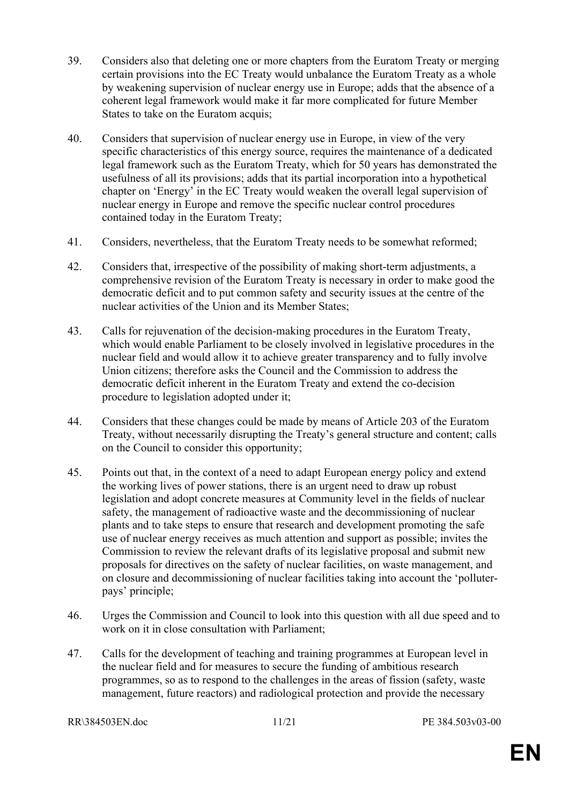- 39. Considers also that deleting one or more chapters from the Euratom Treaty or merging certain provisions into the EC Treaty would unbalance the Euratom Treaty as a whole by weakening supervision of nuclear energy use in Europe; adds that the absence of a coherent legal framework would make it far more complicated for future Member States to take on the Euratom acquis;
- 40. Considers that supervision of nuclear energy use in Europe, in view of the very specific characteristics of this energy source, requires the maintenance of a dedicated legal framework such as the Euratom Treaty, which for 50 years has demonstrated the usefulness of all its provisions; adds that its partial incorporation into a hypothetical chapter on 'Energy' in the EC Treaty would weaken the overall legal supervision of nuclear energy in Europe and remove the specific nuclear control procedures contained today in the Euratom Treaty;
- 41. Considers, nevertheless, that the Euratom Treaty needs to be somewhat reformed;
- 42. Considers that, irrespective of the possibility of making short-term adjustments, a comprehensive revision of the Euratom Treaty is necessary in order to make good the democratic deficit and to put common safety and security issues at the centre of the nuclear activities of the Union and its Member States;
- 43. Calls for rejuvenation of the decision-making procedures in the Euratom Treaty, which would enable Parliament to be closely involved in legislative procedures in the nuclear field and would allow it to achieve greater transparency and to fully involve Union citizens; therefore asks the Council and the Commission to address the democratic deficit inherent in the Euratom Treaty and extend the co-decision procedure to legislation adopted under it;
- 44. Considers that these changes could be made by means of Article 203 of the Euratom Treaty, without necessarily disrupting the Treaty's general structure and content; calls on the Council to consider this opportunity;
- 45. Points out that, in the context of a need to adapt European energy policy and extend the working lives of power stations, there is an urgent need to draw up robust legislation and adopt concrete measures at Community level in the fields of nuclear safety, the management of radioactive waste and the decommissioning of nuclear plants and to take steps to ensure that research and development promoting the safe use of nuclear energy receives as much attention and support as possible; invites the Commission to review the relevant drafts of its legislative proposal and submit new proposals for directives on the safety of nuclear facilities, on waste management, and on closure and decommissioning of nuclear facilities taking into account the 'polluterpays' principle;
- 46. Urges the Commission and Council to look into this question with all due speed and to work on it in close consultation with Parliament;
- 47. Calls for the development of teaching and training programmes at European level in the nuclear field and for measures to secure the funding of ambitious research programmes, so as to respond to the challenges in the areas of fission (safety, waste management, future reactors) and radiological protection and provide the necessary

RR\384503EN.doc 11/21 PE 384.503v03-00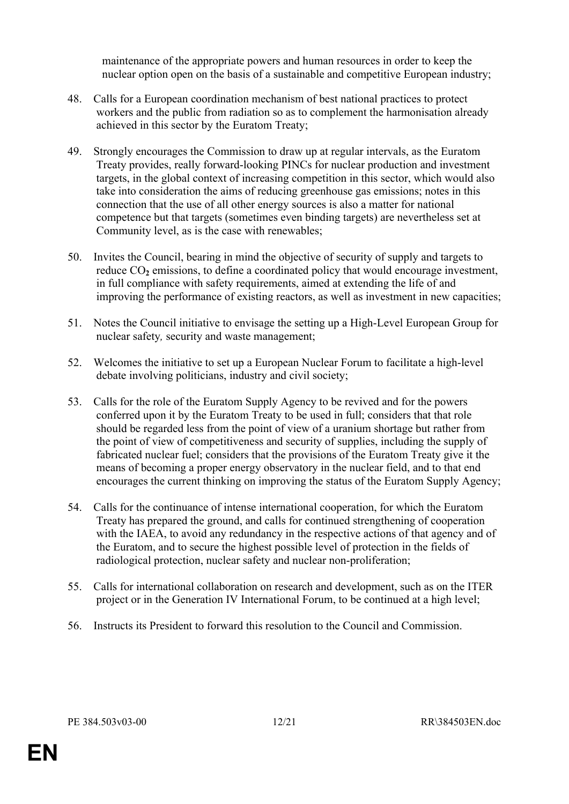maintenance of the appropriate powers and human resources in order to keep the nuclear option open on the basis of a sustainable and competitive European industry;

- 48. Calls for a European coordination mechanism of best national practices to protect workers and the public from radiation so as to complement the harmonisation already achieved in this sector by the Euratom Treaty;
- 49. Strongly encourages the Commission to draw up at regular intervals, as the Euratom Treaty provides, really forward-looking PINCs for nuclear production and investment targets, in the global context of increasing competition in this sector, which would also take into consideration the aims of reducing greenhouse gas emissions; notes in this connection that the use of all other energy sources is also a matter for national competence but that targets (sometimes even binding targets) are nevertheless set at Community level, as is the case with renewables;
- 50. Invites the Council, bearing in mind the objective of security of supply and targets to reduce CO<sub>2</sub> emissions, to define a coordinated policy that would encourage investment, in full compliance with safety requirements, aimed at extending the life of and improving the performance of existing reactors, as well as investment in new capacities;
- 51. Notes the Council initiative to envisage the setting up a High-Level European Group for nuclear safety*,* security and waste management;
- 52. Welcomes the initiative to set up a European Nuclear Forum to facilitate a high-level debate involving politicians, industry and civil society;
- 53. Calls for the role of the Euratom Supply Agency to be revived and for the powers conferred upon it by the Euratom Treaty to be used in full; considers that that role should be regarded less from the point of view of a uranium shortage but rather from the point of view of competitiveness and security of supplies, including the supply of fabricated nuclear fuel; considers that the provisions of the Euratom Treaty give it the means of becoming a proper energy observatory in the nuclear field, and to that end encourages the current thinking on improving the status of the Euratom Supply Agency;
- 54. Calls for the continuance of intense international cooperation, for which the Euratom Treaty has prepared the ground, and calls for continued strengthening of cooperation with the IAEA, to avoid any redundancy in the respective actions of that agency and of the Euratom, and to secure the highest possible level of protection in the fields of radiological protection, nuclear safety and nuclear non-proliferation;
- 55. Calls for international collaboration on research and development, such as on the ITER project or in the Generation IV International Forum, to be continued at a high level;
- 56. Instructs its President to forward this resolution to the Council and Commission.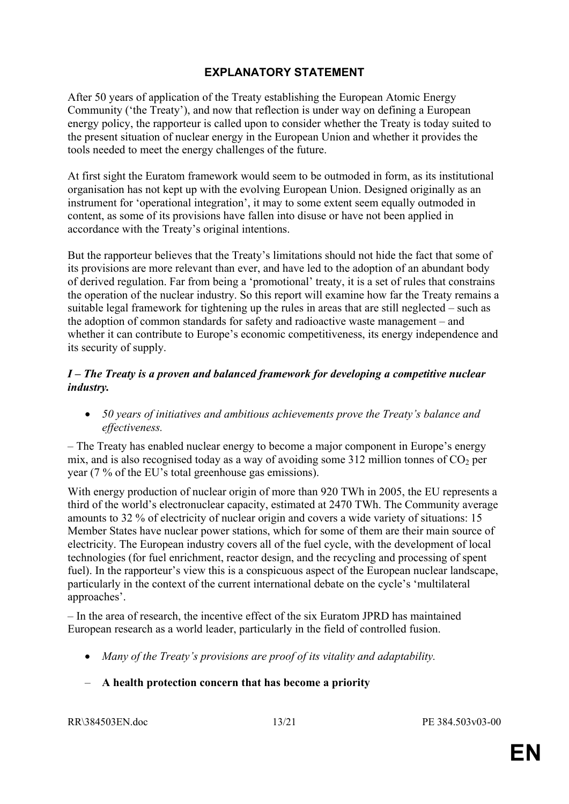#### **EXPLANATORY STATEMENT**

After 50 years of application of the Treaty establishing the European Atomic Energy Community ('the Treaty'), and now that reflection is under way on defining a European energy policy, the rapporteur is called upon to consider whether the Treaty is today suited to the present situation of nuclear energy in the European Union and whether it provides the tools needed to meet the energy challenges of the future.

At first sight the Euratom framework would seem to be outmoded in form, as its institutional organisation has not kept up with the evolving European Union. Designed originally as an instrument for 'operational integration', it may to some extent seem equally outmoded in content, as some of its provisions have fallen into disuse or have not been applied in accordance with the Treaty's original intentions.

But the rapporteur believes that the Treaty's limitations should not hide the fact that some of its provisions are more relevant than ever, and have led to the adoption of an abundant body of derived regulation. Far from being a 'promotional' treaty, it is a set of rules that constrains the operation of the nuclear industry. So this report will examine how far the Treaty remains a suitable legal framework for tightening up the rules in areas that are still neglected – such as the adoption of common standards for safety and radioactive waste management – and whether it can contribute to Europe's economic competitiveness, its energy independence and its security of supply.

#### *I – The Treaty is a proven and balanced framework for developing a competitive nuclear industry.*

 *50 years of initiatives and ambitious achievements prove the Treaty's balance and effectiveness.*

– The Treaty has enabled nuclear energy to become a major component in Europe's energy mix, and is also recognised today as a way of avoiding some 312 million tonnes of  $CO<sub>2</sub>$  per year (7 % of the EU's total greenhouse gas emissions).

With energy production of nuclear origin of more than 920 TWh in 2005, the EU represents a third of the world's electronuclear capacity, estimated at 2470 TWh. The Community average amounts to 32 % of electricity of nuclear origin and covers a wide variety of situations: 15 Member States have nuclear power stations, which for some of them are their main source of electricity. The European industry covers all of the fuel cycle, with the development of local technologies (for fuel enrichment, reactor design, and the recycling and processing of spent fuel). In the rapporteur's view this is a conspicuous aspect of the European nuclear landscape, particularly in the context of the current international debate on the cycle's 'multilateral approaches'.

– In the area of research, the incentive effect of the six Euratom JPRD has maintained European research as a world leader, particularly in the field of controlled fusion.

*Many of the Treaty's provisions are proof of its vitality and adaptability.* 

#### – **A health protection concern that has become a priority**

RR\384503EN.doc 13/21 PE 384.503v03-00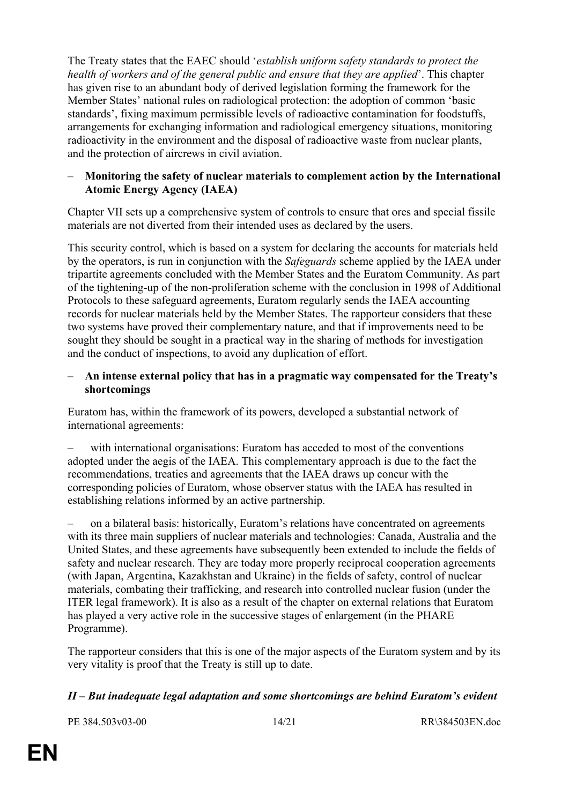The Treaty states that the EAEC should '*establish uniform safety standards to protect the health of workers and of the general public and ensure that they are applied*'. This chapter has given rise to an abundant body of derived legislation forming the framework for the Member States' national rules on radiological protection: the adoption of common 'basic standards', fixing maximum permissible levels of radioactive contamination for foodstuffs, arrangements for exchanging information and radiological emergency situations, monitoring radioactivity in the environment and the disposal of radioactive waste from nuclear plants, and the protection of aircrews in civil aviation.

#### – **Monitoring the safety of nuclear materials to complement action by the International Atomic Energy Agency (IAEA)**

Chapter VII sets up a comprehensive system of controls to ensure that ores and special fissile materials are not diverted from their intended uses as declared by the users.

This security control, which is based on a system for declaring the accounts for materials held by the operators, is run in conjunction with the *Safeguards* scheme applied by the IAEA under tripartite agreements concluded with the Member States and the Euratom Community. As part of the tightening-up of the non-proliferation scheme with the conclusion in 1998 of Additional Protocols to these safeguard agreements, Euratom regularly sends the IAEA accounting records for nuclear materials held by the Member States. The rapporteur considers that these two systems have proved their complementary nature, and that if improvements need to be sought they should be sought in a practical way in the sharing of methods for investigation and the conduct of inspections, to avoid any duplication of effort.

#### – **An intense external policy that has in a pragmatic way compensated for the Treaty's shortcomings**

Euratom has, within the framework of its powers, developed a substantial network of international agreements:

– with international organisations: Euratom has acceded to most of the conventions adopted under the aegis of the IAEA. This complementary approach is due to the fact the recommendations, treaties and agreements that the IAEA draws up concur with the corresponding policies of Euratom, whose observer status with the IAEA has resulted in establishing relations informed by an active partnership.

– on a bilateral basis: historically, Euratom's relations have concentrated on agreements with its three main suppliers of nuclear materials and technologies: Canada, Australia and the United States, and these agreements have subsequently been extended to include the fields of safety and nuclear research. They are today more properly reciprocal cooperation agreements (with Japan, Argentina, Kazakhstan and Ukraine) in the fields of safety, control of nuclear materials, combating their trafficking, and research into controlled nuclear fusion (under the ITER legal framework). It is also as a result of the chapter on external relations that Euratom has played a very active role in the successive stages of enlargement (in the PHARE Programme).

The rapporteur considers that this is one of the major aspects of the Euratom system and by its very vitality is proof that the Treaty is still up to date.

#### *II – But inadequate legal adaptation and some shortcomings are behind Euratom's evident*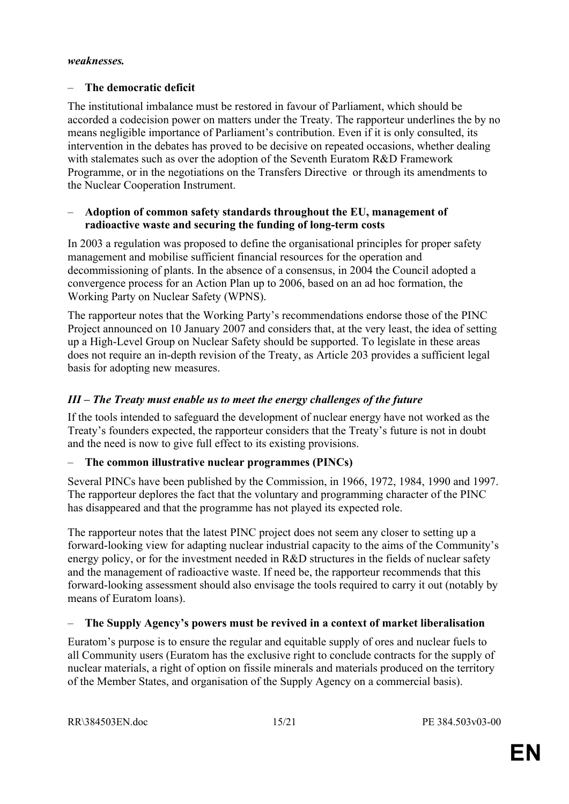#### *weaknesses.*

#### – **The democratic deficit**

The institutional imbalance must be restored in favour of Parliament, which should be accorded a codecision power on matters under the Treaty. The rapporteur underlines the by no means negligible importance of Parliament's contribution. Even if it is only consulted, its intervention in the debates has proved to be decisive on repeated occasions, whether dealing with stalemates such as over the adoption of the Seventh Euratom R&D Framework Programme, or in the negotiations on the Transfers Directive or through its amendments to the Nuclear Cooperation Instrument.

#### – **Adoption of common safety standards throughout the EU, management of radioactive waste and securing the funding of long-term costs**

In 2003 a regulation was proposed to define the organisational principles for proper safety management and mobilise sufficient financial resources for the operation and decommissioning of plants. In the absence of a consensus, in 2004 the Council adopted a convergence process for an Action Plan up to 2006, based on an ad hoc formation, the Working Party on Nuclear Safety (WPNS).

The rapporteur notes that the Working Party's recommendations endorse those of the PINC Project announced on 10 January 2007 and considers that, at the very least, the idea of setting up a High-Level Group on Nuclear Safety should be supported. To legislate in these areas does not require an in-depth revision of the Treaty, as Article 203 provides a sufficient legal basis for adopting new measures.

#### *III – The Treaty must enable us to meet the energy challenges of the future*

If the tools intended to safeguard the development of nuclear energy have not worked as the Treaty's founders expected, the rapporteur considers that the Treaty's future is not in doubt and the need is now to give full effect to its existing provisions.

#### – **The common illustrative nuclear programmes (PINCs)**

Several PINCs have been published by the Commission, in 1966, 1972, 1984, 1990 and 1997. The rapporteur deplores the fact that the voluntary and programming character of the PINC has disappeared and that the programme has not played its expected role.

The rapporteur notes that the latest PINC project does not seem any closer to setting up a forward-looking view for adapting nuclear industrial capacity to the aims of the Community's energy policy, or for the investment needed in R&D structures in the fields of nuclear safety and the management of radioactive waste. If need be, the rapporteur recommends that this forward-looking assessment should also envisage the tools required to carry it out (notably by means of Euratom loans).

#### – **The Supply Agency's powers must be revived in a context of market liberalisation**

Euratom's purpose is to ensure the regular and equitable supply of ores and nuclear fuels to all Community users (Euratom has the exclusive right to conclude contracts for the supply of nuclear materials, a right of option on fissile minerals and materials produced on the territory of the Member States, and organisation of the Supply Agency on a commercial basis).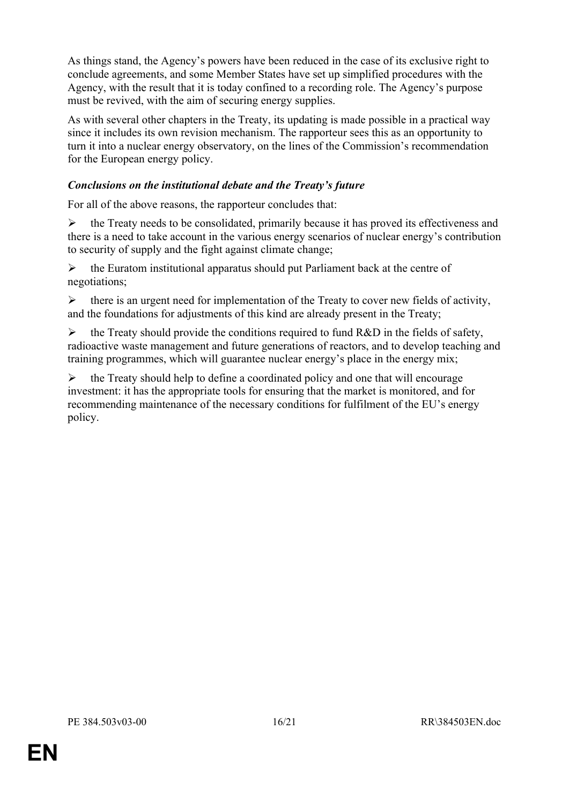As things stand, the Agency's powers have been reduced in the case of its exclusive right to conclude agreements, and some Member States have set up simplified procedures with the Agency, with the result that it is today confined to a recording role. The Agency's purpose must be revived, with the aim of securing energy supplies.

As with several other chapters in the Treaty, its updating is made possible in a practical way since it includes its own revision mechanism. The rapporteur sees this as an opportunity to turn it into a nuclear energy observatory, on the lines of the Commission's recommendation for the European energy policy.

#### *Conclusions on the institutional debate and the Treaty's future*

For all of the above reasons, the rapporteur concludes that:

 $\triangleright$  the Treaty needs to be consolidated, primarily because it has proved its effectiveness and there is a need to take account in the various energy scenarios of nuclear energy's contribution to security of supply and the fight against climate change;

 $\triangleright$  the Euratom institutional apparatus should put Parliament back at the centre of negotiations;

 $\triangleright$  there is an urgent need for implementation of the Treaty to cover new fields of activity, and the foundations for adjustments of this kind are already present in the Treaty;

 $\triangleright$  the Treaty should provide the conditions required to fund R&D in the fields of safety, radioactive waste management and future generations of reactors, and to develop teaching and training programmes, which will guarantee nuclear energy's place in the energy mix;

 $\triangleright$  the Treaty should help to define a coordinated policy and one that will encourage investment: it has the appropriate tools for ensuring that the market is monitored, and for recommending maintenance of the necessary conditions for fulfilment of the EU's energy policy.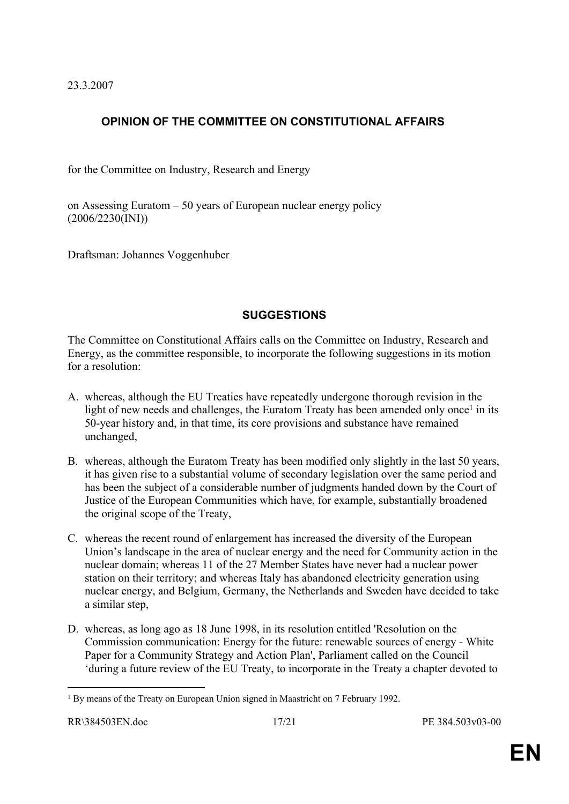23.3.2007

# **OPINION OF THE COMMITTEE ON CONSTITUTIONAL AFFAIRS**

for the Committee on Industry, Research and Energy

on Assessing Euratom – 50 years of European nuclear energy policy (2006/2230(INI))

Draftsman: Johannes Voggenhuber

#### **SUGGESTIONS**

The Committee on Constitutional Affairs calls on the Committee on Industry, Research and Energy, as the committee responsible, to incorporate the following suggestions in its motion for a resolution:

- A. whereas, although the EU Treaties have repeatedly undergone thorough revision in the light of new needs and challenges, the Euratom Treaty has been amended only once<sup>1</sup> in its 50-year history and, in that time, its core provisions and substance have remained unchanged,
- B. whereas, although the Euratom Treaty has been modified only slightly in the last 50 years, it has given rise to a substantial volume of secondary legislation over the same period and has been the subject of a considerable number of judgments handed down by the Court of Justice of the European Communities which have, for example, substantially broadened the original scope of the Treaty,
- C. whereas the recent round of enlargement has increased the diversity of the European Union's landscape in the area of nuclear energy and the need for Community action in the nuclear domain; whereas 11 of the 27 Member States have never had a nuclear power station on their territory; and whereas Italy has abandoned electricity generation using nuclear energy, and Belgium, Germany, the Netherlands and Sweden have decided to take a similar step,
- D. whereas, as long ago as 18 June 1998, in its resolution entitled 'Resolution on the Commission communication: Energy for the future: renewable sources of energy - White Paper for a Community Strategy and Action Plan', Parliament called on the Council 'during a future review of the EU Treaty, to incorporate in the Treaty a chapter devoted to

<sup>&</sup>lt;sup>1</sup> By means of the Treaty on European Union signed in Maastricht on 7 February 1992.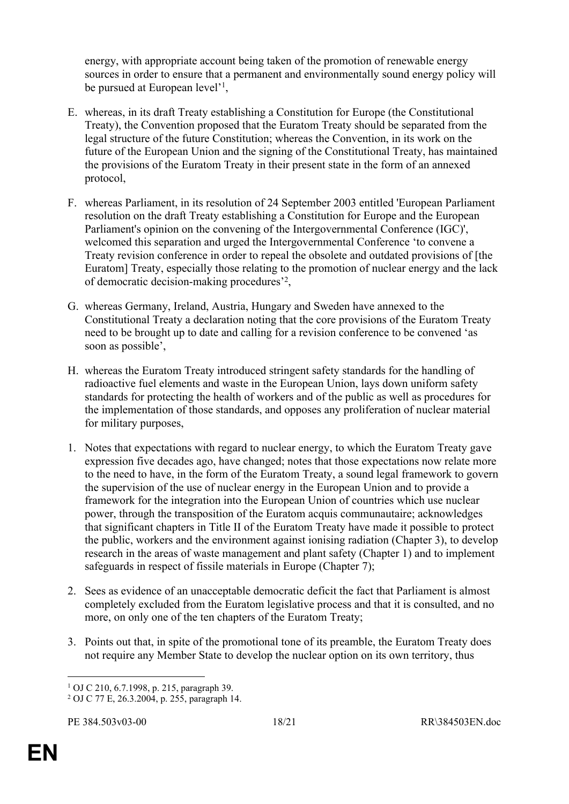energy, with appropriate account being taken of the promotion of renewable energy sources in order to ensure that a permanent and environmentally sound energy policy will be pursued at European level'<sup>1</sup>,

- E. whereas, in its draft Treaty establishing a Constitution for Europe (the Constitutional Treaty), the Convention proposed that the Euratom Treaty should be separated from the legal structure of the future Constitution; whereas the Convention, in its work on the future of the European Union and the signing of the Constitutional Treaty, has maintained the provisions of the Euratom Treaty in their present state in the form of an annexed protocol,
- F. whereas Parliament, in its resolution of 24 September 2003 entitled 'European Parliament resolution on the draft Treaty establishing a Constitution for Europe and the European Parliament's opinion on the convening of the Intergovernmental Conference (IGC)', welcomed this separation and urged the Intergovernmental Conference 'to convene a Treaty revision conference in order to repeal the obsolete and outdated provisions of [the Euratom] Treaty, especially those relating to the promotion of nuclear energy and the lack of democratic decision-making procedures'<sup>2</sup> ,
- G. whereas Germany, Ireland, Austria, Hungary and Sweden have annexed to the Constitutional Treaty a declaration noting that the core provisions of the Euratom Treaty need to be brought up to date and calling for a revision conference to be convened 'as soon as possible',
- H. whereas the Euratom Treaty introduced stringent safety standards for the handling of radioactive fuel elements and waste in the European Union, lays down uniform safety standards for protecting the health of workers and of the public as well as procedures for the implementation of those standards, and opposes any proliferation of nuclear material for military purposes,
- 1. Notes that expectations with regard to nuclear energy, to which the Euratom Treaty gave expression five decades ago, have changed; notes that those expectations now relate more to the need to have, in the form of the Euratom Treaty, a sound legal framework to govern the supervision of the use of nuclear energy in the European Union and to provide a framework for the integration into the European Union of countries which use nuclear power, through the transposition of the Euratom acquis communautaire; acknowledges that significant chapters in Title II of the Euratom Treaty have made it possible to protect the public, workers and the environment against ionising radiation (Chapter 3), to develop research in the areas of waste management and plant safety (Chapter 1) and to implement safeguards in respect of fissile materials in Europe (Chapter 7);
- 2. Sees as evidence of an unacceptable democratic deficit the fact that Parliament is almost completely excluded from the Euratom legislative process and that it is consulted, and no more, on only one of the ten chapters of the Euratom Treaty;
- 3. Points out that, in spite of the promotional tone of its preamble, the Euratom Treaty does not require any Member State to develop the nuclear option on its own territory, thus

<sup>1</sup> OJ C 210, 6.7.1998, p. 215, paragraph 39.

<sup>2</sup> OJ C 77 E, 26.3.2004, p. 255, paragraph 14.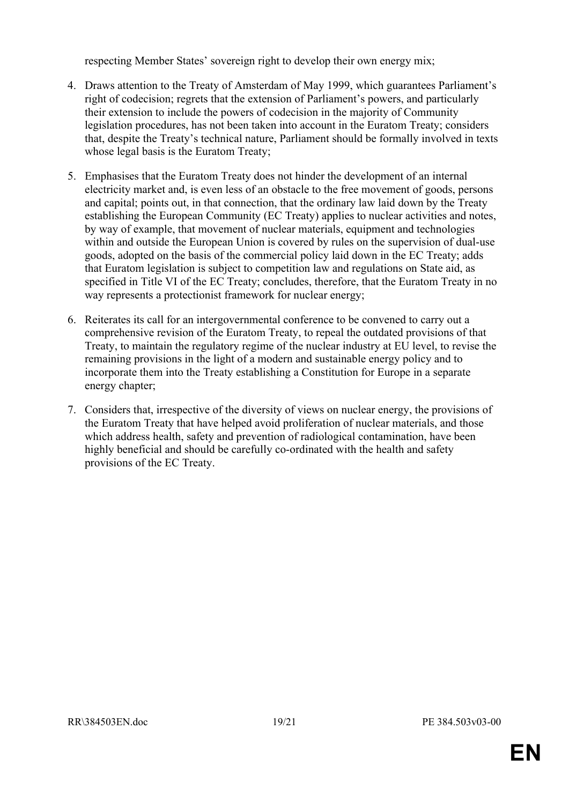respecting Member States' sovereign right to develop their own energy mix;

- 4. Draws attention to the Treaty of Amsterdam of May 1999, which guarantees Parliament's right of codecision; regrets that the extension of Parliament's powers, and particularly their extension to include the powers of codecision in the majority of Community legislation procedures, has not been taken into account in the Euratom Treaty; considers that, despite the Treaty's technical nature, Parliament should be formally involved in texts whose legal basis is the Euratom Treaty;
- 5. Emphasises that the Euratom Treaty does not hinder the development of an internal electricity market and, is even less of an obstacle to the free movement of goods, persons and capital; points out, in that connection, that the ordinary law laid down by the Treaty establishing the European Community (EC Treaty) applies to nuclear activities and notes, by way of example, that movement of nuclear materials, equipment and technologies within and outside the European Union is covered by rules on the supervision of dual-use goods, adopted on the basis of the commercial policy laid down in the EC Treaty; adds that Euratom legislation is subject to competition law and regulations on State aid, as specified in Title VI of the EC Treaty; concludes, therefore, that the Euratom Treaty in no way represents a protectionist framework for nuclear energy;
- 6. Reiterates its call for an intergovernmental conference to be convened to carry out a comprehensive revision of the Euratom Treaty, to repeal the outdated provisions of that Treaty, to maintain the regulatory regime of the nuclear industry at EU level, to revise the remaining provisions in the light of a modern and sustainable energy policy and to incorporate them into the Treaty establishing a Constitution for Europe in a separate energy chapter;
- 7. Considers that, irrespective of the diversity of views on nuclear energy, the provisions of the Euratom Treaty that have helped avoid proliferation of nuclear materials, and those which address health, safety and prevention of radiological contamination, have been highly beneficial and should be carefully co-ordinated with the health and safety provisions of the EC Treaty.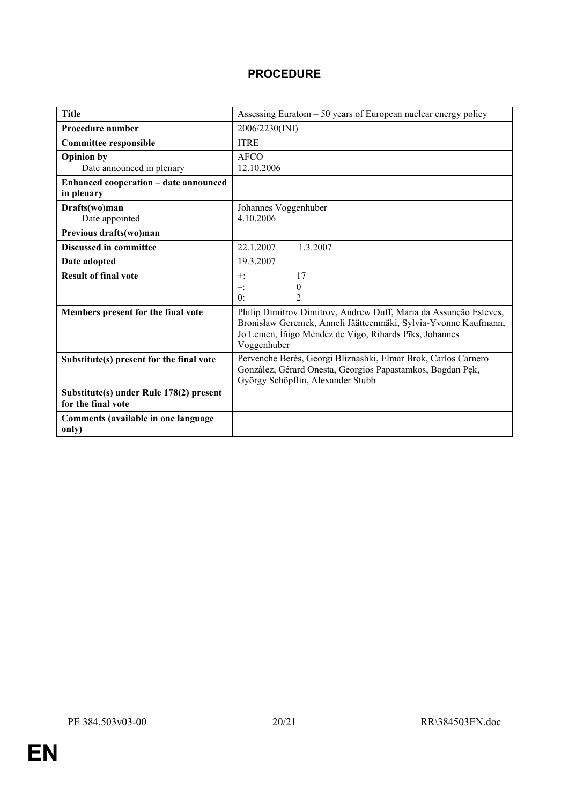### **PROCEDURE**

| <b>Title</b>                                 | Assessing Euratom $-50$ years of European nuclear energy policy                                 |
|----------------------------------------------|-------------------------------------------------------------------------------------------------|
| <b>Procedure number</b>                      | 2006/2230(INI)                                                                                  |
| <b>Committee responsible</b>                 | <b>ITRE</b>                                                                                     |
| <b>Opinion by</b>                            | AFCO                                                                                            |
| Date announced in plenary                    | 12.10.2006                                                                                      |
| Enhanced cooperation - date announced        |                                                                                                 |
| in plenary                                   |                                                                                                 |
| Drafts(wo)man                                | Johannes Voggenhuber                                                                            |
| Date appointed                               | 4.10.2006                                                                                       |
| Previous drafts(wo)man                       |                                                                                                 |
| <b>Discussed in committee</b>                | 22.1.2007<br>1.3.2007                                                                           |
| Date adopted                                 | 19.3.2007                                                                                       |
| <b>Result of final vote</b>                  | 17<br>$+$ :                                                                                     |
|                                              | $\theta$<br>$-$ :                                                                               |
|                                              | $\overline{2}$<br>$0^{\circ}$                                                                   |
| Members present for the final vote           | Philip Dimitrov Dimitrov, Andrew Duff, Maria da Assunção Esteves,                               |
|                                              | Bronisław Geremek, Anneli Jäätteenmäki, Sylvia-Yvonne Kaufmann,                                 |
|                                              | Jo Leinen, Íñigo Méndez de Vigo, Rihards Pīks, Johannes                                         |
|                                              | Voggenhuber                                                                                     |
| Substitute(s) present for the final vote     | Pervenche Berès, Georgi Bliznashki, Elmar Brok, Carlos Carnero                                  |
|                                              | González, Gérard Onesta, Georgios Papastamkos, Bogdan Pęk,<br>György Schöpflin, Alexander Stubb |
| Substitute(s) under Rule 178(2) present      |                                                                                                 |
| for the final vote                           |                                                                                                 |
|                                              |                                                                                                 |
| Comments (available in one language<br>only) |                                                                                                 |
|                                              |                                                                                                 |